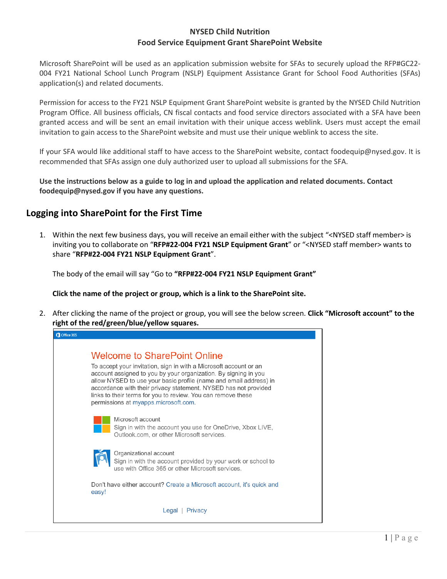## **NYSED Child Nutrition Food Service Equipment Grant SharePoint Website**

Microsoft SharePoint will be used as an application submission website for SFAs to securely upload the RFP#GC22- 004 FY21 National School Lunch Program (NSLP) Equipment Assistance Grant for School Food Authorities (SFAs) application(s) and related documents.

Permission for access to the FY21 NSLP Equipment Grant SharePoint website is granted by the NYSED Child Nutrition Program Office. All business officials, CN fiscal contacts and food service directors associated with a SFA have been granted access and will be sent an email invitation with their unique access weblink. Users must accept the email invitation to gain access to the SharePoint website and must use their unique weblink to access the site.

If your SFA would like additional staff to have access to the SharePoint website, contact foodequip@nysed.gov. It is recommended that SFAs assign one duly authorized user to upload all submissions for the SFA.

**Use the instructions below as a guide to log in and upload the application and related documents. Contact foodequip@nysed.gov if you have any questions.** 

## **Logging into SharePoint for the First Time**

1. Within the next few business days, you will receive an email either with the subject "<NYSED staff member> is inviting you to collaborate on "**RFP#22-004 FY21 NSLP Equipment Grant**" or "<NYSED staff member> wants to share "**RFP#22-004 FY21 NSLP Equipment Grant**".

The body of the email will say "Go to **"RFP#22-004 FY21 NSLP Equipment Grant"**

**Click the name of the project or group, which is a link to the SharePoint site.**

2. After clicking the name of the project or group, you will see the below screen. **Click "Microsoft account" to the right of the red/green/blue/yellow squares.**

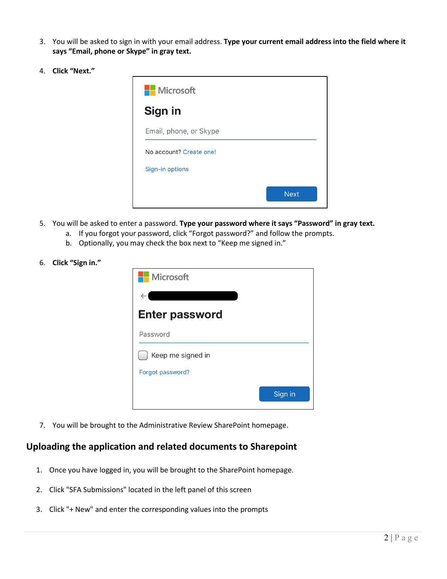- 3. You will be asked to sign in with your email address. **Type your current email address into the field where it says "Email, phone or Skype" in gray text.**
- 4. **Click "Next."**



- 5. You will be asked to enter a password. **Type your password where it says "Password" in gray text.**
	- a. If you forgot your password, click "Forgot password?" and follow the prompts.
	- b. Optionally, you may check the box next to "Keep me signed in."
- 6. **Click "Sign in."**

| <b>Nicrosoft</b>      |         |
|-----------------------|---------|
| $\leftarrow$          |         |
| <b>Enter password</b> |         |
| Password              |         |
| Keep me signed in     |         |
| Forgot password?      |         |
|                       | Sign in |

7. You will be brought to the Administrative Review SharePoint homepage.

## **Uploading the application and related documents to Sharepoint**

- 1. Once you have logged in, you will be brought to the SharePoint homepage.
- 2. Click "SFA Submissions" located in the left panel of this screen
- 3. Click "+ New" and enter the corresponding values into the prompts